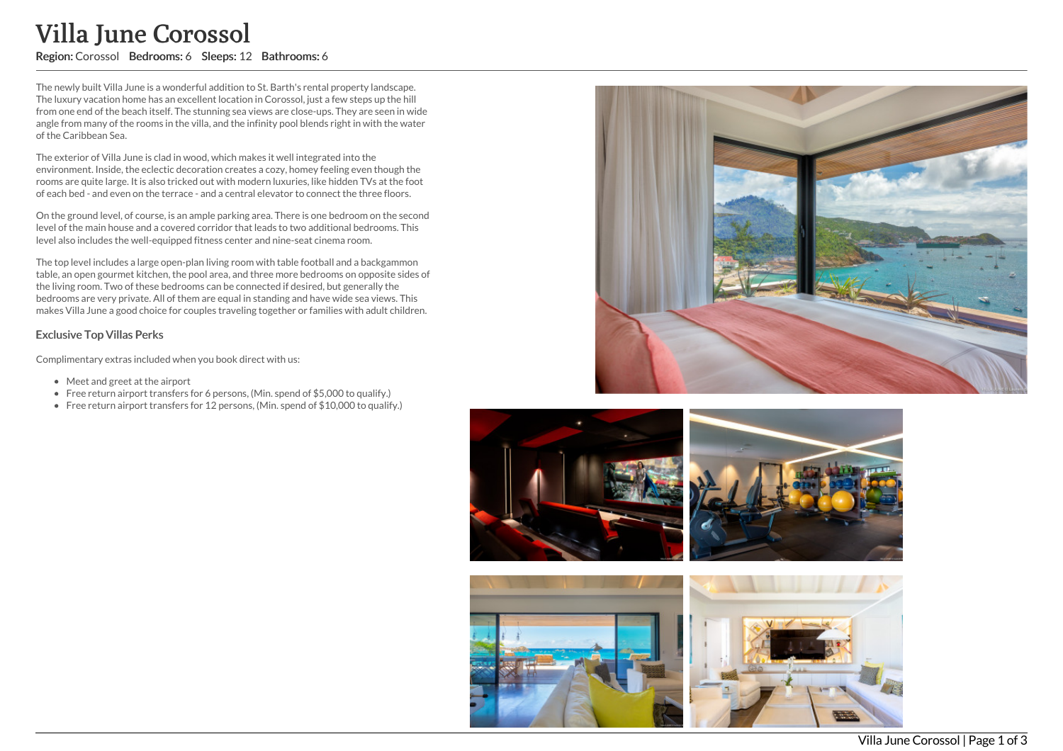## Villa June Corossol

## Region: Corossol Bedrooms: 6 Sleeps: 12 Bathrooms: 6

The newly built Villa June is a wonderful addition to St. Barth's rental property landscape. The luxury vacation home has an excellent location in Corossol, just a few steps up the hill from one end of the beach itself. The stunning sea views are close-ups. They are seen in wide angle from many of the rooms in the villa, and the infinity pool blends right in with the water of the Caribbean Sea.

The exterior of Villa June is clad in wood, which makes it well integrated into the environment. Inside, the eclectic decoration creates a cozy, homey feeling even though the rooms are quite large. It is also tricked out with modern luxuries, like hidden TVs at the foot of each bed - and even on the terrace - and a central elevator to connect the three floors.

On the ground level, of course, is an ample parking area. There is one bedroom on the second level of the main house and a covered corridor that leads to two additional bedrooms. This level also includes the well-equipped fitness center and nine-seat cinema room.

The top level includes a large open-plan living room with table football and a backgammon table, an open gourmet kitchen, the pool area, and three more bedrooms on opposite sides of the living room. Two of these bedrooms can be connected if desired, but generally the bedrooms are very private. All of them are equal in standing and have wide sea views. This makes Villa June a good choice for couples traveling together or families with adult children.

## Exclusive Top Villas Perks

Complimentary extras included when you book direct with us:

- Meet and greet at the airport
- Free return airport transfers for 6 persons, (Min. spend of \$5,000 to qualify.)
- Free return airport transfers for 12 persons, (Min. spend of \$10,000 to qualify.)



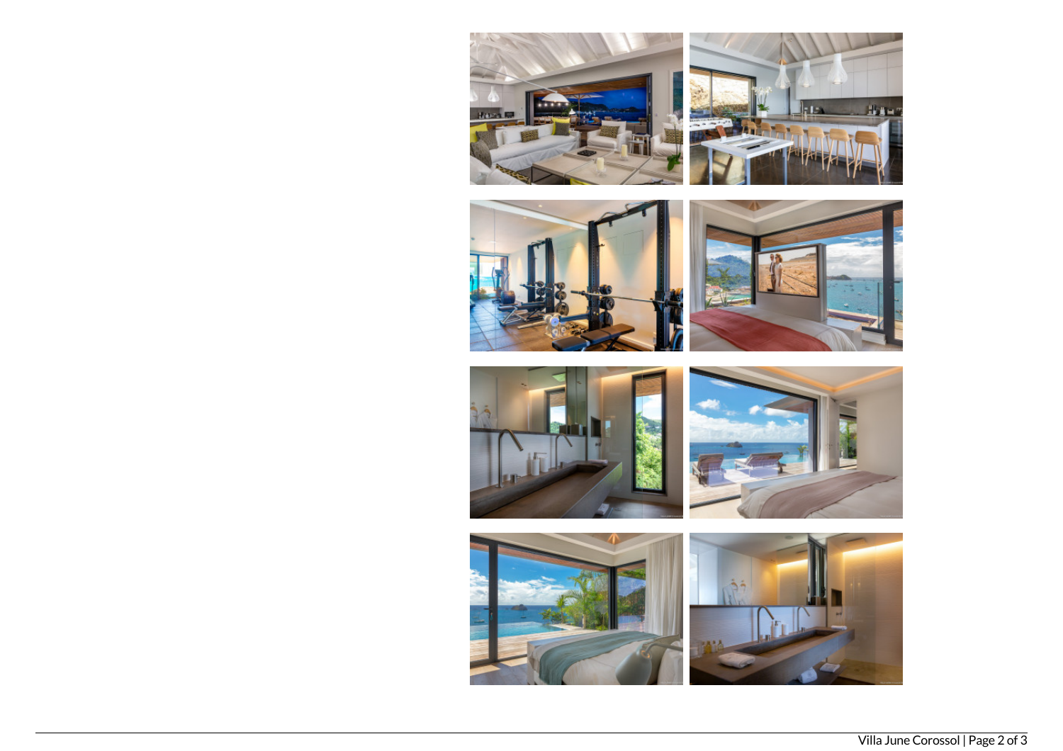